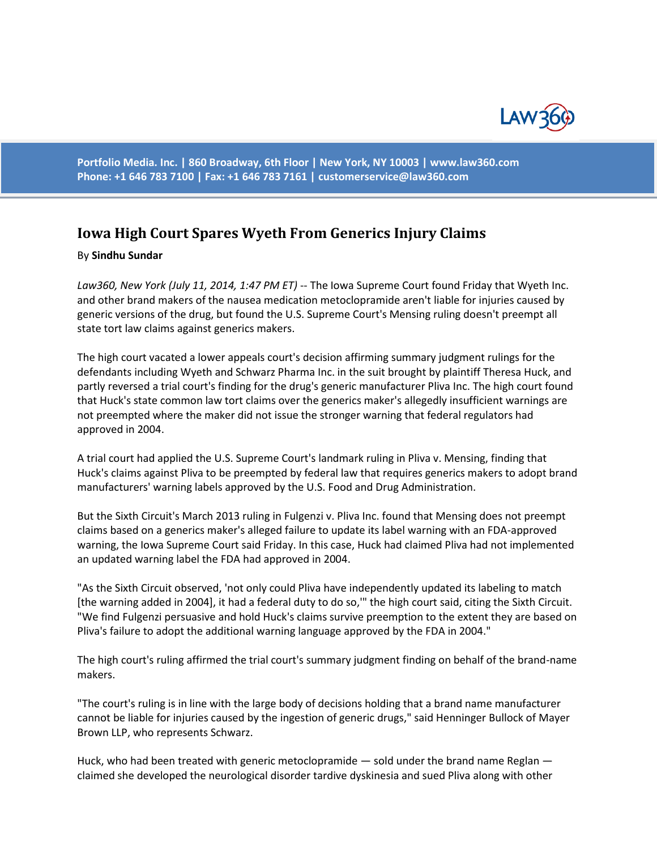

**Portfolio Media. Inc. | 860 Broadway, 6th Floor | New York, NY 10003 | www.law360.com Phone: +1 646 783 7100 | Fax: +1 646 783 7161 | [customerservice@law360.com](mailto:customerservice@law360.com)**

## **Iowa High Court Spares Wyeth From Generics Injury Claims**

## By **Sindhu Sundar**

Law360, New York (July 11, 2014, 1:47 PM ET) -- The Iowa Supreme Court found Friday that Wyeth Inc. and other brand makers of the nausea medication metoclopramide aren't liable for injuries caused by generic versions of the drug, but found the U.S. Supreme Court's Mensing ruling doesn't preempt all state tort law claims against generics makers.

The high court vacated a lower appeals court's decision affirming summary judgment rulings for the defendants including Wyeth and Schwarz Pharma Inc. in the suit brought by plaintiff Theresa Huck, and partly reversed a trial court's finding for the drug's generic manufacturer Pliva Inc. The high court found that Huck's state common law tort claims over the generics maker's allegedly insufficient warnings are not preempted where the maker did not issue the stronger warning that federal regulators had approved in 2004.

A trial court had applied the U.S. Supreme Court's landmark ruling in Pliva v. Mensing, finding that Huck's claims against Pliva to be preempted by federal law that requires generics makers to adopt brand manufacturers' warning labels approved by the U.S. Food and Drug Administration.

But the Sixth Circuit's March 2013 ruling in Fulgenzi v. Pliva Inc. found that Mensing does not preempt claims based on a generics maker's alleged failure to update its label warning with an FDA-approved warning, the Iowa Supreme Court said Friday. In this case, Huck had claimed Pliva had not implemented an updated warning label the FDA had approved in 2004.

"As the Sixth Circuit observed, 'not only could Pliva have independently updated its labeling to match [the warning added in 2004], it had a federal duty to do so,'" the high court said, citing the Sixth Circuit. "We find Fulgenzi persuasive and hold Huck's claims survive preemption to the extent they are based on Pliva's failure to adopt the additional warning language approved by the FDA in 2004."

The high court's ruling affirmed the trial court's summary judgment finding on behalf of the brand-name makers.

"The court's ruling is in line with the large body of decisions holding that a brand name manufacturer cannot be liable for injuries caused by the ingestion of generic drugs," said Henninger Bullock of Mayer Brown LLP, who represents Schwarz.

Huck, who had been treated with generic metoclopramide — sold under the brand name Reglan claimed she developed the neurological disorder tardive dyskinesia and sued Pliva along with other